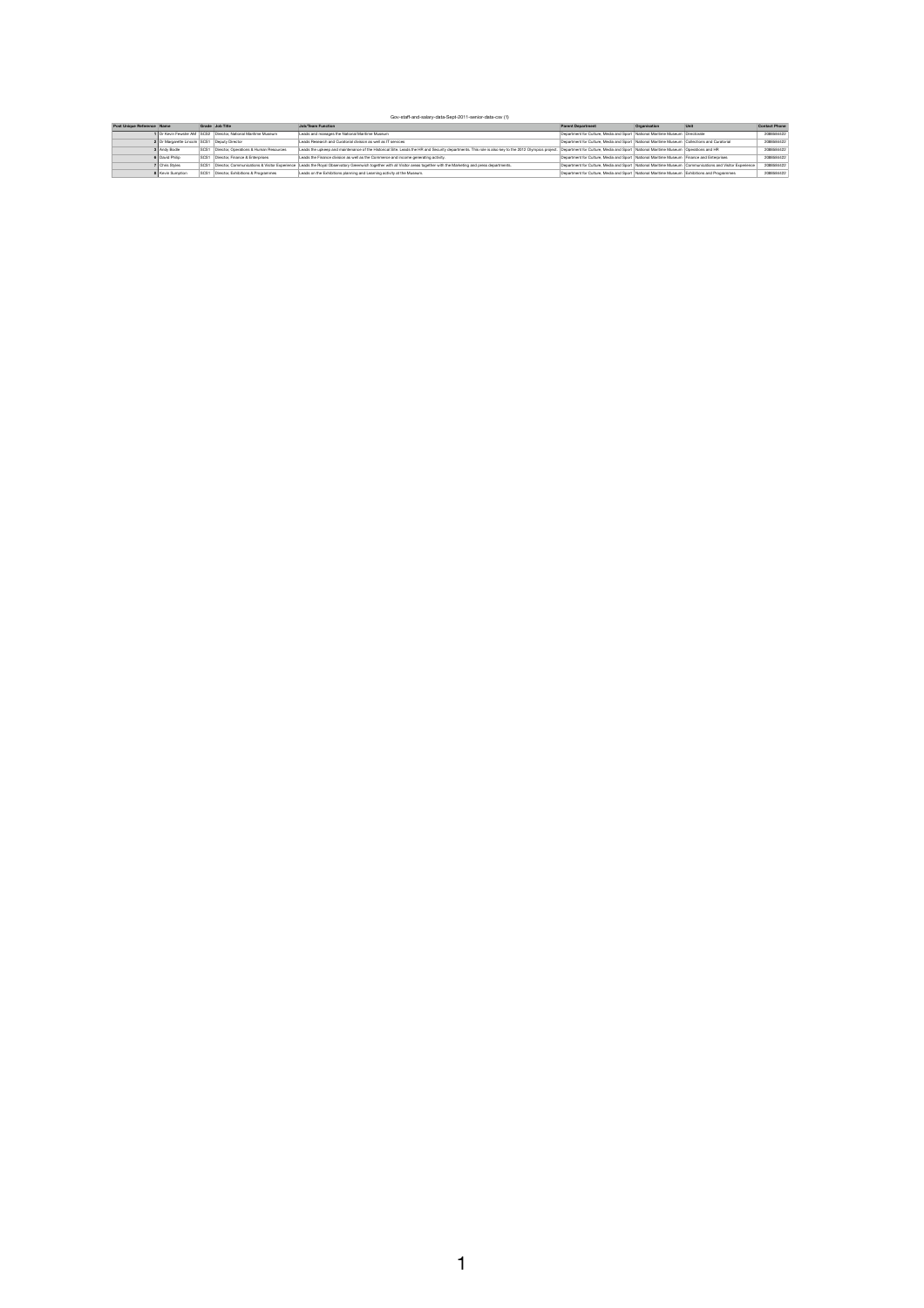## Gov-staff-and-salary-data-Sept-2011-senior-data-csv (1)

| <b>Post Unique Reference Name</b> |                                              |                  | Grade   Job Title                                             | <b>Job/Team Function</b>                                                                                                                                                                                                       | <b>Parent Department</b>                                                                                   | Organisation | Unit | <b>Contact Phone</b> |
|-----------------------------------|----------------------------------------------|------------------|---------------------------------------------------------------|--------------------------------------------------------------------------------------------------------------------------------------------------------------------------------------------------------------------------------|------------------------------------------------------------------------------------------------------------|--------------|------|----------------------|
|                                   |                                              |                  | 1 Dr Kevin Fewster AM SCS2 Director, National Maritime Museum | Leads and manages the National Maritime Museum                                                                                                                                                                                 | Department for Culture, Media and Sport   National Maritime Museum   Directorate                           |              |      | 2088584422           |
|                                   | 2 Dr Margarette Lincoln SCS1 Deputy Director |                  |                                                               | Leads Research and Curatorial division as well as IT services                                                                                                                                                                  | Department for Culture, Media and Sport   National Maritime Museum   Collections and Curatorial            |              |      | 2088584422           |
|                                   | 3 Andy Bodle                                 |                  | SCS1 Director, Operations & Human Resources                   | Leads the upkeep and maintenance of the Historical Site. Leads the HR and Security departments. This role is also key to the 2012 Olympics project. Department for Culture, Media and Sport   National Maritime Museum   Opera |                                                                                                            |              |      | 2088584422           |
|                                   | 6 David Philip                               |                  | SCS1 Director, Finance & Enterprises                          | Leads the Finance division as well as the Commerce and income generating activity.                                                                                                                                             | Department for Culture, Media and Sport   National Maritime Museum   Finance and Enterprises               |              |      | 2088584422           |
|                                   | 7 Chris Styles                               |                  |                                                               | SCS1 Director, Communications & Visitor Experience Leads the Royal Observatory Greenwich together with all Visitor areas together with the Marketing and press departments.                                                    | Department for Culture, Media and Sport   National Maritime Museum   Communications and Visitor Experience |              |      | 2088584422           |
|                                   | 8   Kevin Sumption                           | SCS <sub>1</sub> | Director, Exhibitions & Programmes                            | Leads on the Exhibitions planning and Learning activity at the Museum.                                                                                                                                                         | Department for Culture, Media and Sport   National Maritime Museum   Exhibitions and Programmes            |              |      | 2088584422           |

 $\blacktriangleleft$